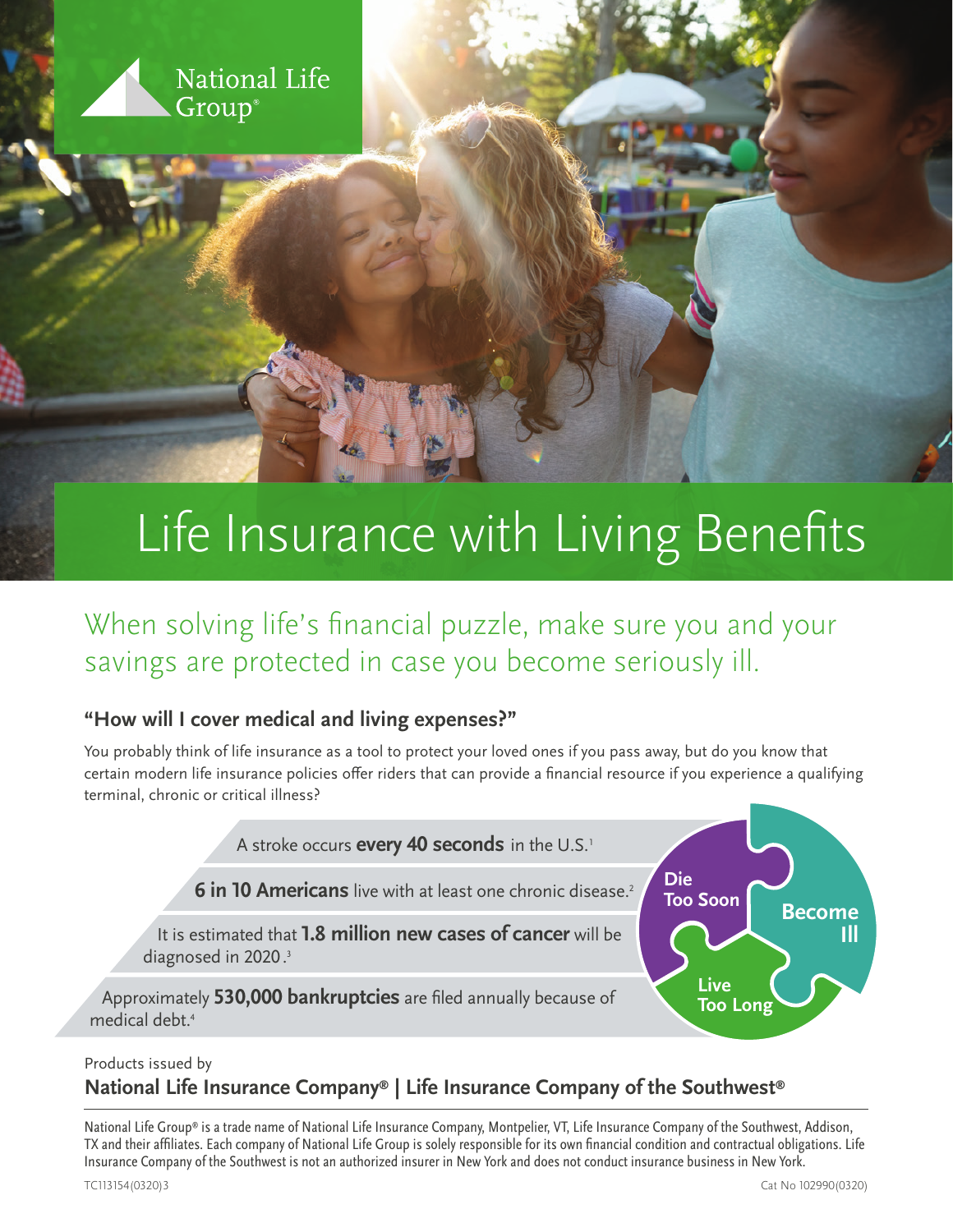

# Life Insurance with Living Benefits

When solving life's financial puzzle, make sure you and your savings are protected in case you become seriously ill.

#### **"How will I cover medical and living expenses?"**

You probably think of life insurance as a tool to protect your loved ones if you pass away, but do you know that certain modern life insurance policies offer riders that can provide a financial resource if you experience a qualifying terminal, chronic or critical illness?



#### Products issued by

#### **National Life Insurance Company® | Life Insurance Company of the Southwest®**

National Life Group® is a trade name of National Life Insurance Company, Montpelier, VT, Life Insurance Company of the Southwest, Addison, TX and their affiliates. Each company of National Life Group is solely responsible for its own financial condition and contractual obligations. Life Insurance Company of the Southwest is not an authorized insurer in New York and does not conduct insurance business in New York.